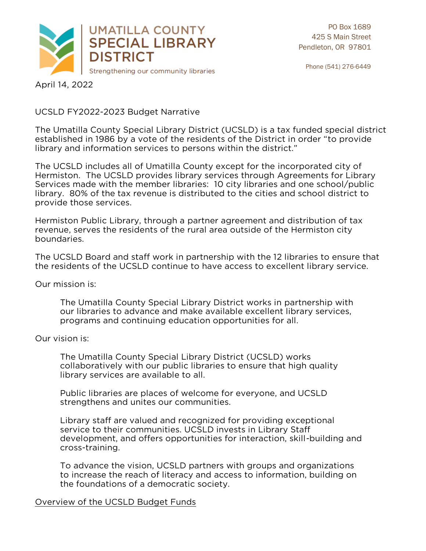

 $\mathbf{1}_{\mathbf{2}_{\mathbf{2}}}$ 

# UCC PRODUCED FRANCH

The Umatilla County Special Library District (UCSLD) is a tax funded special district library and information services to persons within the district." library and information services to persons within the district."

The UCSLD includes all of Umatilla County except for the incorporated city of Hermiston. The UCSLD provides library services through Agreements for Library Services made with the member libraries: 10 city libraries and one school/public library. 80% of the tax revenue is distributed to the cities and school district to provide those services. provide those services.

Hermiston Public Library, through a partner agreement and distribution of tax boundaries. boundaries.

The UCSLD Board and staff work in partnership with the 12 libraries to ensure that the residents of the UCSLD continue to have access to excellent library service. the residents of the UCSLD continue to have access to excellent library service.

Our mission is: Our mission is:

> The Umatilla County Special Library District works in partnership with programs and continuing education opportunities for all. programs and continuing education opportunities for all.

#### Our vision is: Our vision is:

The Umatilla County Special Library District (UCSLD) works collaboratively with our public libraries to ensure that high quality library services are available to all.

Public libraries are places of welcome for everyone, and UCSLD strengthens and unites our communities. strengthens and unites our communities.

Library staff are valued and recognized for providing exceptional development, and offers opportunities for interaction, skill-building and cross-training. cross-training.

To advance the vision, UCSLD partners with groups and organizations<br>to increase the reach of literacy and access to information, building on the foundations of a democratic society. the foundations of a democratic society.

<u>overview of the UCSLD Budget Funds</u>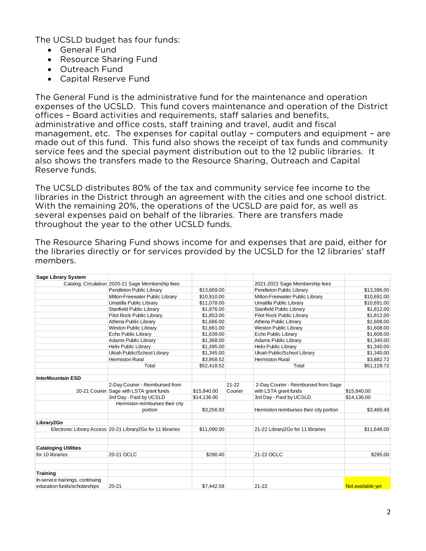The UCSLD budget has four funds:

- General Fund<br>• Resource Sharing Fund
	- Resource Sharing Fund
	- Outreach Fund
	- Capital Reserve Fund

The General Fund is the administrative fund for the maintenance and operation offices - Board activities and requirements, staff salaries and benefits, administrative and office costs, staff training and travel, audit and fiscal management, etc. The expenses for capital outlay  $-$  computers and equipment  $-$  are made out of this fund. This fund also shows the receipt of tax funds and community service fees and the special payment distribution out to the 12 public libraries. It also shows the transfers made to the Resource Sharing, Outreach and Capital Reserve funds. Reserve funds.

The UCSLD distributes 80% of the tax and community service fee income to the libraries in the District through an agreement with the cities and one school district. With the remaining 20%, the operations of the UCSLD are paid for, as well as several expenses paid on behalf of the libraries. There are transfers made several expenses paid on behalf of the minimizer made are transfers made. throughout the year to the other UCSLD funds.

| <b>Sage Library System</b>       |                                                              |             |           |                                         |                   |
|----------------------------------|--------------------------------------------------------------|-------------|-----------|-----------------------------------------|-------------------|
|                                  | Catalog, Circulation 2020-21 Sage Membership fees            |             |           | 2021-2022 Sage Membership fees          |                   |
|                                  | Pendleton Public Library                                     | \$13,669.00 |           | Pendleton Public Library                | \$13,396.00       |
|                                  | Milton-Freewater Public Library                              | \$10,910.00 |           | Milton-Freewater Public Library         | \$10,691.00       |
|                                  | Umatilla Public Library                                      | \$11,078.00 |           | Umatilla Public Library                 | \$10,691.00       |
|                                  | Stanfield Public Library                                     | \$1.876.00  |           | Stanfield Public Library                | \$1,812.00        |
|                                  | Pilot Rock Public Library                                    | \$1,853.00  |           | Pilot Rock Public Library               | \$1,812.00        |
|                                  | Athena Public Library                                        | \$1,666.00  |           | Athena Public Library                   | \$1,608.00        |
|                                  | <b>Weston Public Library</b>                                 | \$1,661.00  |           | Weston Public Library                   | \$1,608.00        |
|                                  | Echo Public Library                                          | \$1,639.00  |           | Echo Public Library                     | \$1,608.00        |
|                                  | <b>Adams Public Library</b>                                  | \$1,368.00  |           | Adams Public Library                    | \$1,340.00        |
|                                  | <b>Helix Public Library</b>                                  | \$1,395.00  |           | <b>Helix Public Library</b>             | \$1,340.00        |
|                                  | Ukiah Public/School Library                                  | \$1,345.00  |           | Ukiah Public/School Library             | \$1,340.00        |
|                                  | <b>Hermiston Rural</b>                                       | \$3,958.52  |           | <b>Hermiston Rural</b>                  | \$3,882.72        |
|                                  | Total                                                        | \$52,418.52 |           | Total                                   | \$51,128.72       |
| <b>InterMountain ESD</b>         |                                                              |             |           |                                         |                   |
|                                  | 2-Day Courier - Reimbursed from                              |             | $21 - 22$ | 2-Day Courier - Reimbursed from Sage    |                   |
|                                  | 20-21 Courier Sage with LSTA grant funds                     | \$15,840.00 | Courier   | with LSTA grant funds                   | \$15,840.00       |
|                                  | 3rd Day - Paid by UCSLD                                      | \$14,136.00 |           | 3rd Day - Paid by UCSLD                 | \$14,136.00       |
|                                  | Hermiston reimburses their city<br>portion                   | \$3.256.93  |           | Hermiston reimburses their city portion | \$3.460.49        |
| Library2Go                       |                                                              |             |           |                                         |                   |
|                                  | Electronic Library Access 20-21 Library 2Go for 11 libraries | \$11,090.00 |           | 21-22 Library2Go for 11 libraries       | \$11,646.00       |
| <b>Cataloging Utilities</b>      |                                                              |             |           |                                         |                   |
| for 10 libraries                 | 20-21 OCLC                                                   | \$290.40    |           | 21-22 OCLC                              | \$295.00          |
| <b>Training</b>                  |                                                              |             |           |                                         |                   |
| In-service trainings, continuing |                                                              |             |           |                                         |                   |
| education funds/scholarships     | $20 - 21$                                                    | \$7.442.58  |           | $21 - 22$                               | Not available yet |

The Resource Sharing Fund shows income for and expenses that are paid, either for the libraries directly or for services provided by the UCSLD for the 12 libraries' staff the inflation and complete services provided by the UCSLD for the 12 libraries' staff.<br>Members members.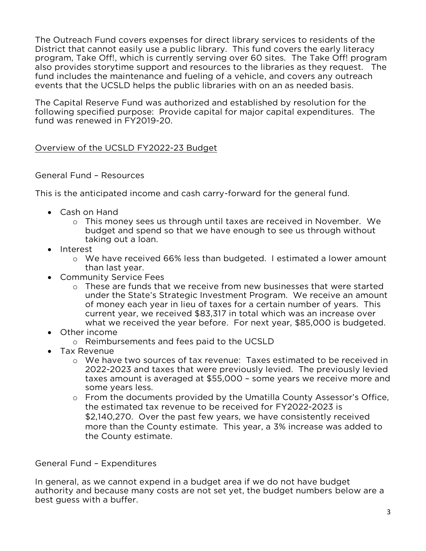The Outreach Fund covers expenses for direct library services to residents of the District that cannot easily use a public library. This fund covers the early literacy program. Take Off!, which is currently serving over 60 sites. The Take Off! program also provides storytime support and resources to the libraries as they request. The fund includes the maintenance and fueling of a vehicle, and covers any outreach events that the UCSLD helps the public libraries with on an as needed basis. events that the UCSLD helps the public libraries with on an as needed basis.

The Capital Reserve Fund was authorized and established by resolution for the fund was renewed in FY2019-20. fund was renewed in FY2019-20.

#### Overview of the UCSLD FY2022-23 Budget

#### General Fund – Resources

This is the anticipated income and cash carry-forward for the general fund.

- Cash on Hand
	- <sup>o</sup> This money sees us through until taxes are received in November. We taking out a loan. taking out a loan.<br>st
- Interest
	- <sup>o</sup> We have received 66% less than budgeted. I estimated a lower amount
- Community Service Fees
	- o These are funds that we receive from new businesses that were started<br>under the State's Strategic Investment Program. We receive an amount of money each year in lieu of taxes for a certain number of years. This current year, we received \$83,317 in total which was an increase over what we received the year before. For next year, \$85,000 is budgeted. where the received the year before. For next year, \$85,000 is budgeted.<br>Income
- Other income
	- <sup>o</sup> Reimbursements and fees paid to the UCSLD
- Tax Revenue
	- o We have two sources of tax revenue: Taxes estimated to be received in 2022-2023 and taxes that were previously levied. The previously levied taxes amount is averaged at \$55,000 - some years we receive more and some years less.
	- o From the documents provided by the Umatilla County Assessor's Office,<br>the estimated tax revenue to be received for EY2022-2023 is the estimated tax revenue to be received for FY2022-2023 is \$2,140,270. Over the past few years, we have consistently received more than the County estimate. This year, a 3% increase was added to the County estimate. the County estimate.

General Fund – Expenditures

In general, as we cannot expend in a budget area if we do not have budget authority and because many costs are not set yet, the budget numbers below are a best quess with a buffer. best guess with a buffer.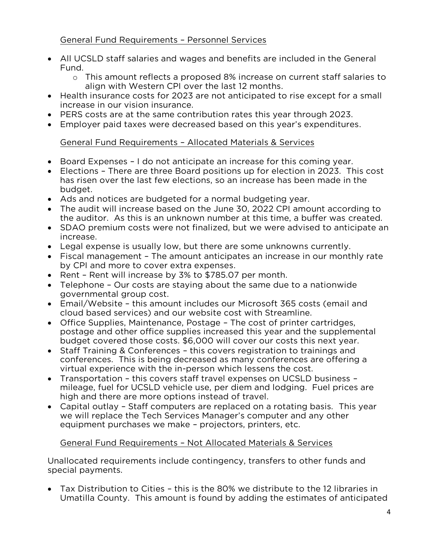## General Fund Requirements – Personnel Services

- All UCSLD staff salaries and wages and benefits are included in the General
	- o This amount reflects a proposed 8% increase on current staff salaries to<br>align with Western CPI over the last 12 months
- Health insurance costs for 2023 are not anticipated to rise except for a small increase in our vision insurance.
- PERS costs are at the same contribution rates this year through 2023.<br>• Employer paid taxes were decreased based on this year's expenditure
- Employer paid taxes were decreased based on this year's expenditures.

# General Fund Requirements – Allocated Materials & Services

- Board Expenses I do not anticipate an increase for this coming year.
- Elections There are three Board positions up for election in 2023. This cost has risen over the last few elections, so an increase has been made in the has risen over the last few elections, so an increase has been made in the
- Ads and notices are budgeted for a normal budgeting year.<br>• The audit will increase based on the June 30, 2022 CPL amou
- The audit will increase based on the June 30, 2022 CPI amount according to the auditor. As this is an unknown number at this time, a buffer was created.
- SDAO premium costs were not finalized, but we were advised to anticipate an increase
- Legal expense is usually low, but there are some unknowns currently.<br>• Fiscal management The amount anticipates an increase in our month
- Fiscal management The amount anticipates an increase in our monthly rate by CPI and more to cover extra expenses.
- Rent Rent will increase by 3% to \$785.07 per month.<br>• Telephone Our costs are staving about the same due
- Telephone Our costs are staying about the same due to a nationwide
- Email/Website this amount includes our Microsoft 365 costs (email and cloud based services) and our website cost with Streamline.
- Office Supplies, Maintenance, Postage The cost of printer cartridges, nostage and other office supplies increased this year and the suppleme postage and other office supplies increased this year and the supplemental
- Staff Training & Conferences this covers registration to trainings and conferences. This is being decreased as many conferences are offering conferences. This is being decreased as many conferences are offering a virtual experience with the in-person which lessens the cost.
- Transportation this covers staff travel expenses on UCSLD business –<br>mileage fuel for UCSLD vehicle use per diem and lodging. Fuel prices mileage, fuel for UCSLD vehicle use, per diem and lodging. Fuel prices are high and there are more options instead of travel.
- Capital outlay Staff computers are replaced on a rotating basis. This year<br>we will replace the Tech Services Manager's computer and any other we will replace the Tech Services Manager's computer and any other equipment purchases we make – projectors, printers, etc.

#### General Fund Requirements – Not Allocated Materials & Services

Unallocated requirements include contingency, transfers to other funds and special navments. special payments.

• Tax Distribution to Cities - this is the 80% we distribute to the 12 libraries in<br>Umatilla County. This amount is found by adding the estimates of anticipated Umatility. This amount is found by adding the estimates of anticipated  $\frac{1}{2}$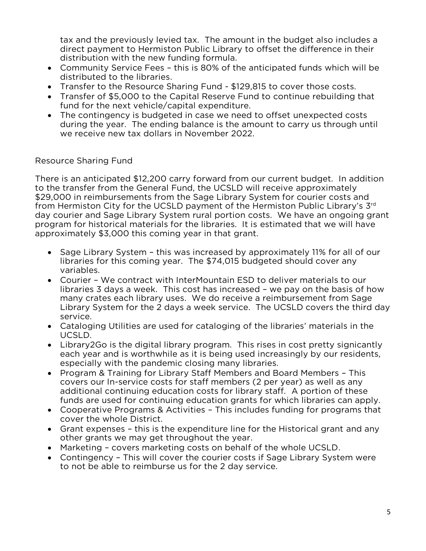tax and the previously levied tax. The amount in the budget also includes a direct payment to Hermiston Public Library to offset the difference in their distribution with the new funding formula.

- Community Service Fees this is 80% of the anticipated funds which will be distributed to the libraries.
- Transfer to the Resource Sharing Fund \$129,815 to cover those costs.<br>• Transfer of \$5,000 to the Capital Reserve Fund to continue rebuilding.
- Transfer of \$5,000 to the Capital Reserve Fund to continue rebuilding that fund for the next vehicle/capital expenditure.
- The contingency is budgeted in case we need to offset unexpected costs<br>during the year. The ending balance is the amount to carry us through un during the year. The ending balance is the amount to carry us through until we receive new tax dollars in November 2022. we receive new tax dollars in November 2022.

# Resource Sharing Fund

There is an anticipated \$12,200 carry forward from our current budget. In addition to the transfer from the General Fund, the UCSLD will receive approximately \$29,000 in reimbursements from the Sage Library System for courier costs and from Hermiston City for the UCSLD payment of the Hermiston Public Library's  $3^{rd}$ day courier and Sage Library System rural portion costs. We have an ongoing grant program for historical materials for the libraries. It is estimated that we will have approximately \$3,000 this coming year in that grant.  $\frac{3}{2}$ 

- Sage Library System this was increased by approximately 11% for all of our libraries for this coming year. The \$74,015 budgeted should cover any
- Courier We contract with InterMountain ESD to deliver materials to our<br>libraries 3 days a week. This cost has increased we pay on the basis of h libraries 3 days a week. This cost has increased - we pay on the basis of how many crates each library uses. We do receive a reimbursement from Sage Library System for the 2 days a week service. The UCSLD covers the third day Library System for the 2 days a week service. The UCSLD covers the third day
- Cataloging Utilities are used for cataloging of the libraries' materials in the UCSI D.
- Library2Go is the digital library program. This rises in cost pretty signicantly<br>each vear and is worthwhile as it is being used increasingly by our residents. each year and is worthwhile as it is being used increasingly by our residents, especially with the pandemic closing many libraries.
- Program & Training for Library Staff Members and Board Members This<br>covers our In-service costs for staff members (2 per year) as well as any covers our In-service costs for staff members (2 per year) as well as any additional continuing education costs for library staff. A portion of these funds are used for continuing education grants for which libraries can apply.
- Cooperative Programs & Activities This includes funding for programs that<br>cover the whole District.
- Grant expenses this is the expenditure line for the Historical grant and any other grants we may get throughout the year.
- Marketing covers marketing costs on behalf of the whole UCSLD.<br>• Contingency This will cover the courier costs if Sage Library Syste
- Contingency This will cover the courier costs if Sage Library System were to not be able to reimburse us for the 2 day service. to not be able to reimburse us for the 2 day service.